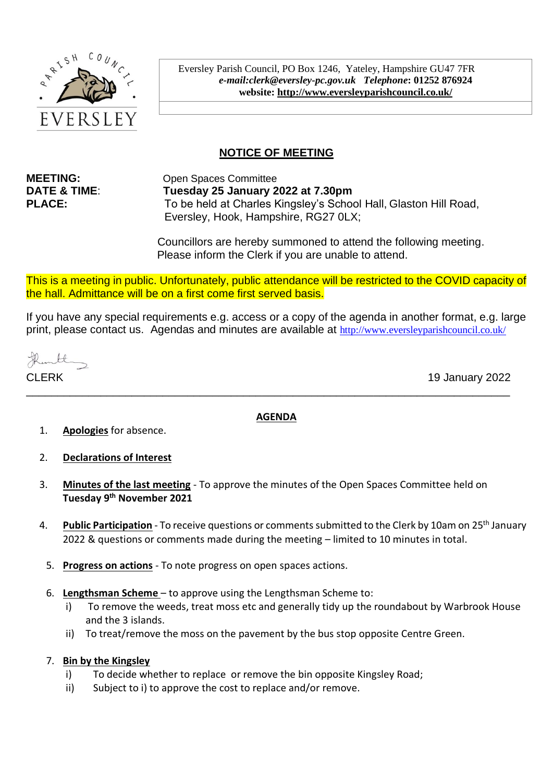

Eversley Parish Council, PO Box 1246, Yateley, Hampshire GU47 7FR *e-mail:clerk@eversley-pc.gov.uk**Telephone***: 01252 876924 website:<http://www.eversleyparishcouncil.co.uk/>**

# **NOTICE OF MEETING**

**MEETING:** Open Spaces Committee **DATE & TIME**: **Tuesday 25 January 2022 at 7.30pm PLACE:** To be held at Charles Kingsley's School Hall, Glaston Hill Road, Eversley, Hook, Hampshire, RG27 0LX;

> Councillors are hereby summoned to attend the following meeting. Please inform the Clerk if you are unable to attend.

This is a meeting in public. Unfortunately, public attendance will be restricted to the COVID capacity of the hall. Admittance will be on a first come first served basis.

If you have any special requirements e.g. access or a copy of the agenda in another format, e.g. large print, please contact us. Agendas and minutes are available at http://www.eversleyparishcouncil.co.uk/

Rembl

CLERK 19 January 2022

#### **AGENDA**

\_\_\_\_\_\_\_\_\_\_\_\_\_\_\_\_\_\_\_\_\_\_\_\_\_\_\_\_\_\_\_\_\_\_\_\_\_\_\_\_\_\_\_\_\_\_\_\_\_\_\_\_\_\_\_\_\_\_\_\_\_\_\_\_\_\_\_\_\_\_\_\_\_\_\_\_\_\_

- 1. **Apologies** for absence.
- 2. **Declarations of Interest**
- 3. **Minutes of the last meeting** To approve the minutes of the Open Spaces Committee held on **Tuesday 9 th November 2021**
- 4. **Public Participation** To receive questions or comments submitted to the Clerk by 10am on 25th January 2022 & questions or comments made during the meeting – limited to 10 minutes in total.
	- 5. **Progress on actions** To note progress on open spaces actions.
	- 6. **Lengthsman Scheme**  to approve using the Lengthsman Scheme to:
		- i) To remove the weeds, treat moss etc and generally tidy up the roundabout by Warbrook House and the 3 islands.
		- ii) To treat/remove the moss on the pavement by the bus stop opposite Centre Green.
	- 7. **Bin by the Kingsley**
		- i) To decide whether to replace or remove the bin opposite Kingsley Road;
		- ii) Subject to i) to approve the cost to replace and/or remove.